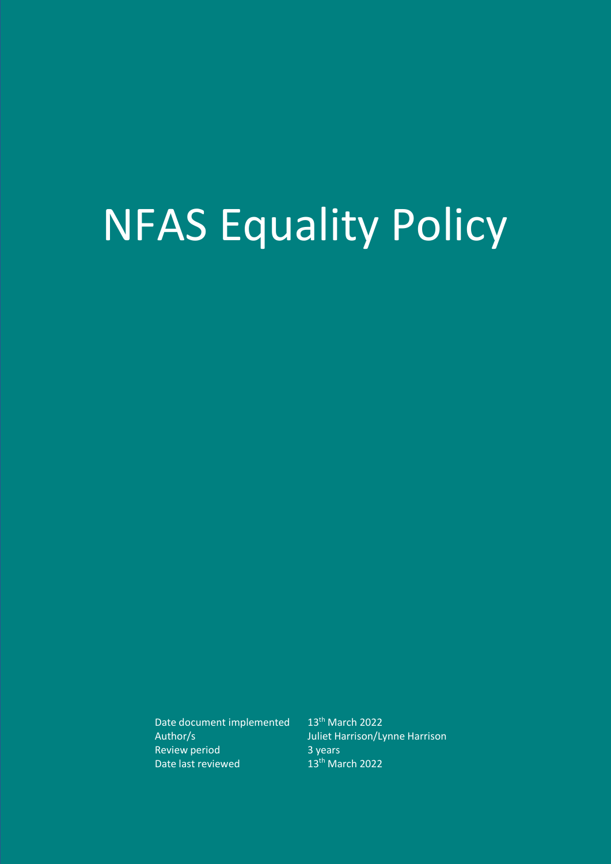# NFAS Equality Policy

Date document implemented 13<sup>th</sup> March 2022 Review period 3 years<br>
Date last reviewed 13<sup>th</sup> March 2022 Date last reviewed

Author/s Juliet Harrison/Lynne Harrison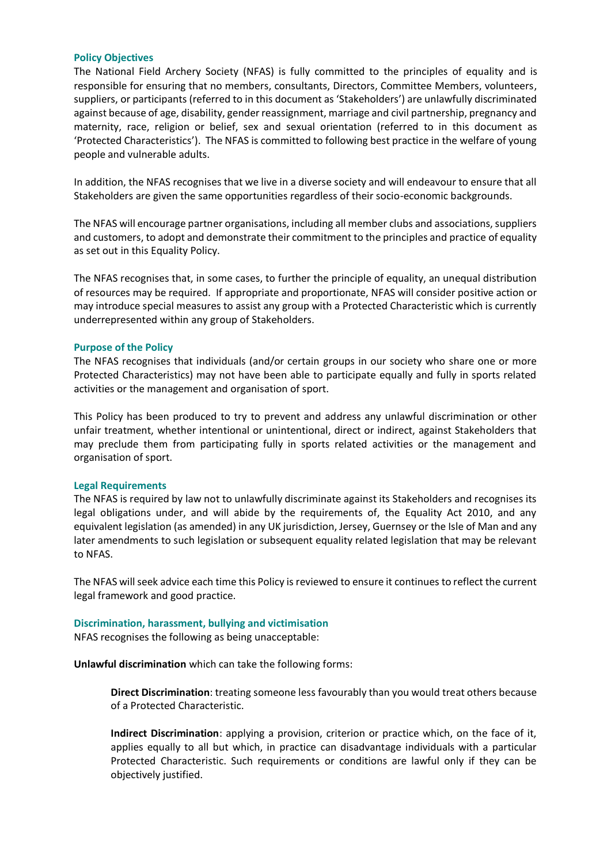# **Policy Objectives**

The National Field Archery Society (NFAS) is fully committed to the principles of equality and is responsible for ensuring that no members, consultants, Directors, Committee Members, volunteers, suppliers, or participants (referred to in this document as 'Stakeholders') are unlawfully discriminated against because of age, disability, gender reassignment, marriage and civil partnership, pregnancy and maternity, race, religion or belief, sex and sexual orientation (referred to in this document as 'Protected Characteristics'). The NFAS is committed to following best practice in the welfare of young people and vulnerable adults.

In addition, the NFAS recognises that we live in a diverse society and will endeavour to ensure that all Stakeholders are given the same opportunities regardless of their socio-economic backgrounds.

The NFAS will encourage partner organisations, including all member clubs and associations, suppliers and customers, to adopt and demonstrate their commitment to the principles and practice of equality as set out in this Equality Policy.

The NFAS recognises that, in some cases, to further the principle of equality, an unequal distribution of resources may be required. If appropriate and proportionate, NFAS will consider positive action or may introduce special measures to assist any group with a Protected Characteristic which is currently underrepresented within any group of Stakeholders.

#### **Purpose of the Policy**

The NFAS recognises that individuals (and/or certain groups in our society who share one or more Protected Characteristics) may not have been able to participate equally and fully in sports related activities or the management and organisation of sport.

This Policy has been produced to try to prevent and address any unlawful discrimination or other unfair treatment, whether intentional or unintentional, direct or indirect, against Stakeholders that may preclude them from participating fully in sports related activities or the management and organisation of sport.

#### **Legal Requirements**

The NFAS is required by law not to unlawfully discriminate against its Stakeholders and recognises its legal obligations under, and will abide by the requirements of, the Equality Act 2010, and any equivalent legislation (as amended) in any UK jurisdiction, Jersey, Guernsey or the Isle of Man and any later amendments to such legislation or subsequent equality related legislation that may be relevant to NFAS.

The NFAS will seek advice each time this Policy is reviewed to ensure it continues to reflect the current legal framework and good practice.

### **Discrimination, harassment, bullying and victimisation**

NFAS recognises the following as being unacceptable:

**Unlawful discrimination** which can take the following forms:

**Direct Discrimination**: treating someone less favourably than you would treat others because of a Protected Characteristic.

**Indirect Discrimination**: applying a provision, criterion or practice which, on the face of it, applies equally to all but which, in practice can disadvantage individuals with a particular Protected Characteristic. Such requirements or conditions are lawful only if they can be objectively justified.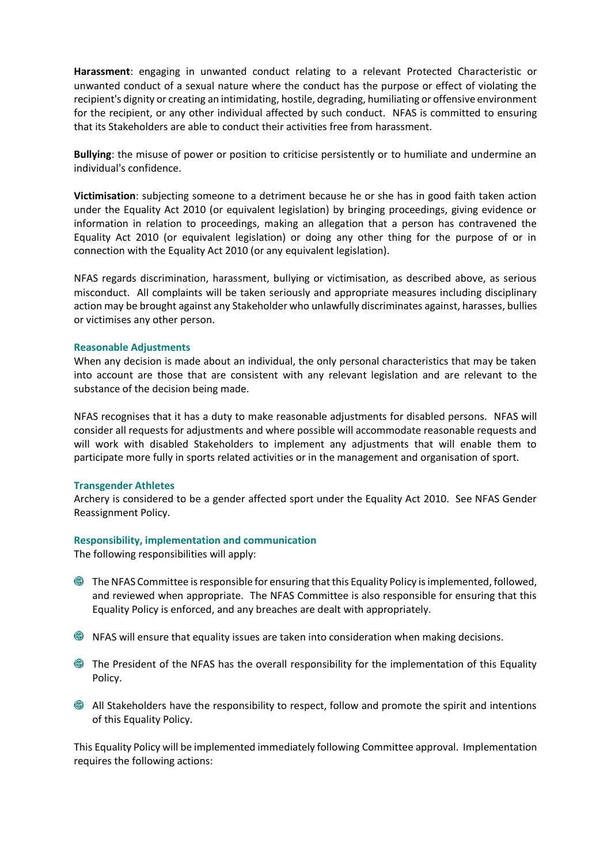**Harassment**: engaging in unwanted conduct relating to a relevant Protected Characteristic or unwanted conduct of a sexual nature where the conduct has the purpose or effect of violating the recipient's dignity or creating an intimidating, hostile, degrading, humiliating or offensive environment for the recipient, or any other individual affected by such conduct. NFAS is committed to ensuring that its Stakeholders are able to conduct their activities free from harassment.

**Bullying**: the misuse of power or position to criticise persistently or to humiliate and undermine an individual's confidence.

**Victimisation**: subjecting someone to a detriment because he or she has in good faith taken action under the Equality Act 2010 (or equivalent legislation) by bringing proceedings, giving evidence or information in relation to proceedings, making an allegation that a person has contravened the Equality Act 2010 (or equivalent legislation) or doing any other thing for the purpose of or in connection with the Equality Act 2010 (or any equivalent legislation).

NFAS regards discrimination, harassment, bullying or victimisation, as described above, as serious misconduct. All complaints will be taken seriously and appropriate measures including disciplinary action may be brought against any Stakeholder who unlawfully discriminates against, harasses, bullies or victimises any other person.

#### **Reasonable Adjustments**

When any decision is made about an individual, the only personal characteristics that may be taken into account are those that are consistent with any relevant legislation and are relevant to the substance of the decision being made.

NFAS recognises that it has a duty to make reasonable adjustments for disabled persons. NFAS will consider all requests for adjustments and where possible will accommodate reasonable requests and will work with disabled Stakeholders to implement any adjustments that will enable them to participate more fully in sports related activities or in the management and organisation of sport.

# **Transgender Athletes**

Archery is considered to be a gender affected sport under the Equality Act 2010. See NFAS Gender Reassignment Policy.

#### **Responsibility, implementation and communication**

The following responsibilities will apply:

- The NFAS Committee is responsible for ensuring that this Equality Policy is implemented, followed, and reviewed when appropriate. The NFAS Committee is also responsible for ensuring that this Equality Policy is enforced, and any breaches are dealt with appropriately.
- NFAS will ensure that equality issues are taken into consideration when making decisions.
- The President of the NFAS has the overall responsibility for the implementation of this Equality Policy.
- All Stakeholders have the responsibility to respect, follow and promote the spirit and intentions of this Equality Policy.

This Equality Policy will be implemented immediately following Committee approval. Implementation requires the following actions: